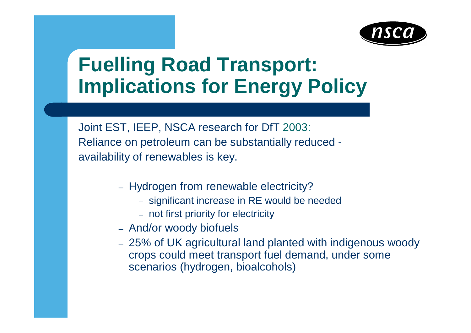

### **Fuelling Road Transport: Implications for Energy Policy**

Joint EST, IEEP, NSCA research for DfT 2003: Reliance on petroleum can be substantially reduced availability of renewables is key.

- Hydrogen from renewable electricity?
	- significant increase in RE would be needed
	- not first priority for electricity
- And/or woody biofuels
- 25% of UK agricultural land planted with indigenous woody crops could meet transport fuel demand, under some scenarios (hydrogen, bioalcohols)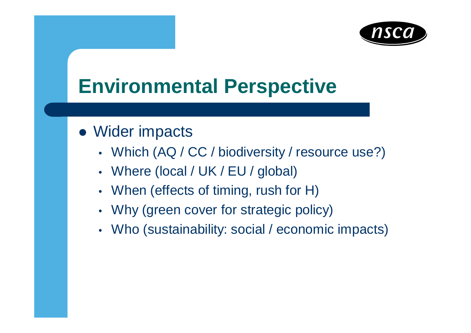

## **Environmental Perspective**

- Wider impacts
	- Which (AQ / CC / biodiversity / resource use?)
	- Where (local / UK / EU / global)
	- When (effects of timing, rush for H)
	- Why (green cover for strategic policy)
	- Who (sustainability: social / economic impacts)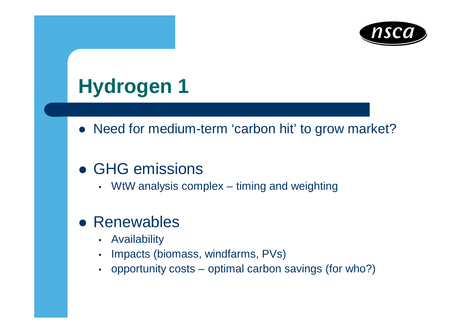

# **Hydrogen 1**

• Need for medium-term 'carbon hit' to grow market?

#### • GHG emissions

• WtW analysis complex – timing and weighting

#### • Renewables

- Availability
- Impacts (biomass, windfarms, PVs)
- opportunity costs optimal carbon savings (for who?)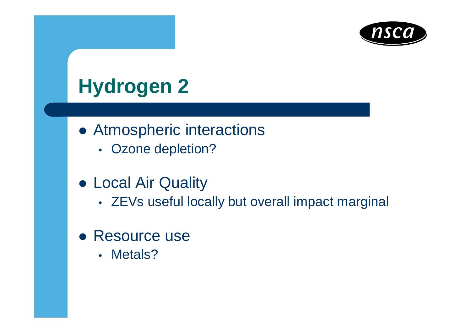

## **Hydrogen 2**

- Atmospheric interactions
	- Ozone depletion?
- Local Air Quality
	- ZEVs useful locally but overall impact marginal
- Resource use
	- Metals?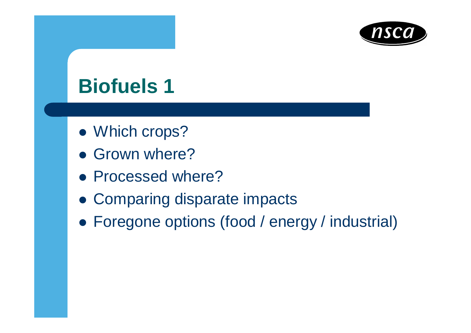

### **Biofuels 1**

- Which crops?
- Grown where?
- Processed where?
- Comparing disparate impacts
- Foregone options (food / energy / industrial)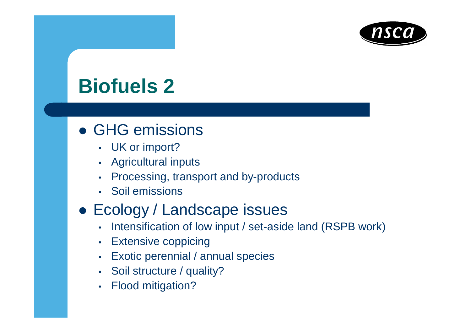

## **Biofuels 2**

- GHG emissions
	- UK or import?
	- Agricultural inputs
	- Processing, transport and by-products
	- Soil emissions
- Ecology / Landscape issues
	- Intensification of low input / set-aside land (RSPB work)
	- Extensive coppicing
	- Exotic perennial / annual species
	- Soil structure / quality?
	- Flood mitigation?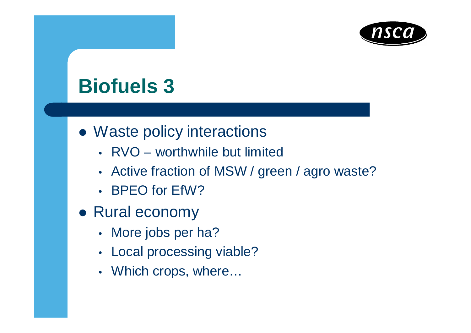

### **Biofuels 3**

- Waste policy interactions
	- RVO worthwhile but limited
	- Active fraction of MSW / green / agro waste?
	- BPEO for EfW?
- Rural economy
	- More jobs per ha?
	- Local processing viable?
	- Which crops, where...